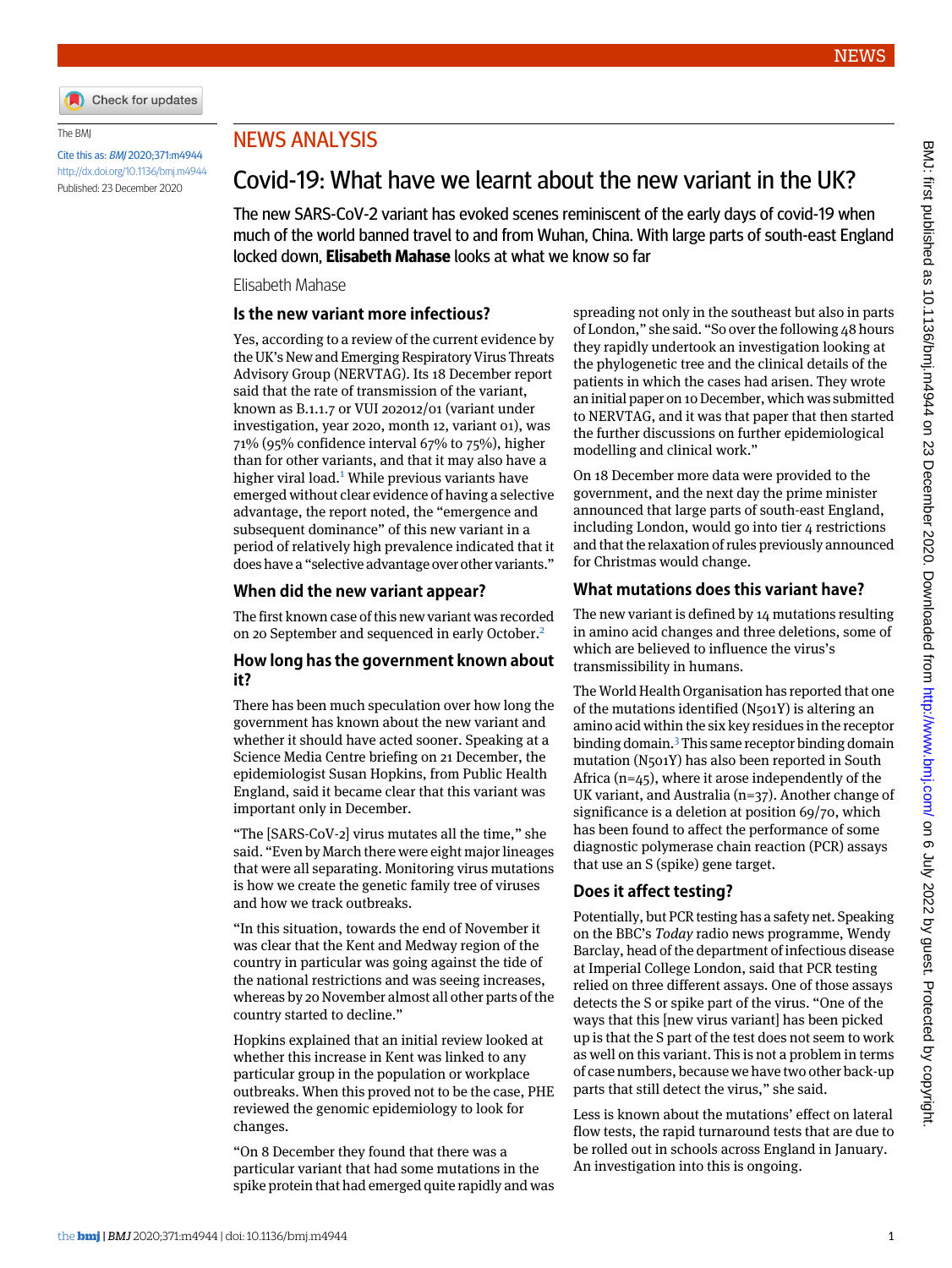

#### The BMJ

Cite this as: BMJ 2020;371:m4944 <http://dx.doi.org/10.1136/bmj.m4944> Published: 23 December 2020

# NEWS ANALYSIS

# Covid-19: What have we learnt about the new variant in the UK?

The new SARS-CoV-2 variant has evoked scenes reminiscent of the early days of covid-19 when much of the world banned travel to and from Wuhan, China. With large parts of south-east England locked down, **Elisabeth Mahase** looks at what we know so far

#### Elisabeth Mahase

### **Is the new variant more infectious?**

Yes, according to a review of the current evidence by the UK's New and Emerging Respiratory Virus Threats Advisory Group (NERVTAG). Its 18 December report said that the rate of transmission of the variant, known as B.1.1.7 or VUI 202012/01 (variant under investigation, year 2020, month 12, variant 01), was 71% (95% confidence interval 67% to 75%), higher than for other variants, and that it may also have a higher viral load.<sup>[1](#page-1-0)</sup> While previous variants have emerged without clear evidence of having a selective advantage, the report noted, the "emergence and subsequent dominance" of this new variant in a period of relatively high prevalence indicated that it does have a "selective advantage over other variants."

#### **When did the new variant appear?**

The first known case of this new variant was recorded on [2](#page-1-1)0 September and sequenced in early October.<sup>2</sup>

#### **How long has the government known about it?**

There has been much speculation over how long the government has known about the new variant and whether it should have acted sooner. Speaking at a Science Media Centre briefing on 21 December, the epidemiologist Susan Hopkins, from Public Health England, said it became clear that this variant was important only in December.

"The [SARS-CoV-2] virus mutates all the time," she said. "Even by March there were eight major lineages that were all separating. Monitoring virus mutations is how we create the genetic family tree of viruses and how we track outbreaks.

"In this situation, towards the end of November it was clear that the Kent and Medway region of the country in particular was going against the tide of the national restrictions and was seeing increases, whereas by 20 November almost all other parts of the country started to decline."

Hopkins explained that an initial review looked at whether this increase in Kent was linked to any particular group in the population or workplace outbreaks. When this proved not to be the case, PHE reviewed the genomic epidemiology to look for changes.

"On 8 December they found that there was a particular variant that had some mutations in the spike protein that had emerged quite rapidly and was spreading not only in the southeast but also in parts of London," she said. "So over the following 48 hours they rapidly undertook an investigation looking at the phylogenetic tree and the clinical details of the patients in which the cases had arisen. They wrote an initial paper on 10 December, which was submitted to NERVTAG, and it was that paper that then started the further discussions on further epidemiological modelling and clinical work."

On 18 December more data were provided to the government, and the next day the prime minister announced that large parts of south-east England, including London, would go into tier 4 restrictions and that the relaxation of rules previously announced for Christmas would change.

# **What mutations does this variant have?**

The new variant is defined by 14 mutations resulting in amino acid changes and three deletions, some of which are believed to influence the virus's transmissibility in humans.

The World Health Organisation has reported that one of the mutations identified (N501Y) is altering an amino acid within the six key residues in the receptor binding domain.[3](#page-1-2) This same receptor binding domain mutation (N501Y) has also been reported in South Africa  $(n=45)$ , where it arose independently of the UK variant, and Australia (n=37). Another change of significance is a deletion at position 69/70, which has been found to affect the performance of some diagnostic polymerase chain reaction (PCR) assays that use an S (spike) gene target.

#### **Does it affect testing?**

Potentially, but PCR testing has a safety net. Speaking on the BBC's *Today* radio news programme, Wendy Barclay, head of the department of infectious disease at Imperial College London, said that PCR testing relied on three different assays. One of those assays detects the S or spike part of the virus. "One of the ways that this [new virus variant] has been picked up is that the S part of the test does not seem to work as well on this variant. This is not a problem in terms of case numbers, because we have two other back-up parts that still detect the virus," she said.

Less is known about the mutations' effect on lateral flow tests, the rapid turnaround tests that are due to be rolled out in schools across England in January. An investigation into this is ongoing.